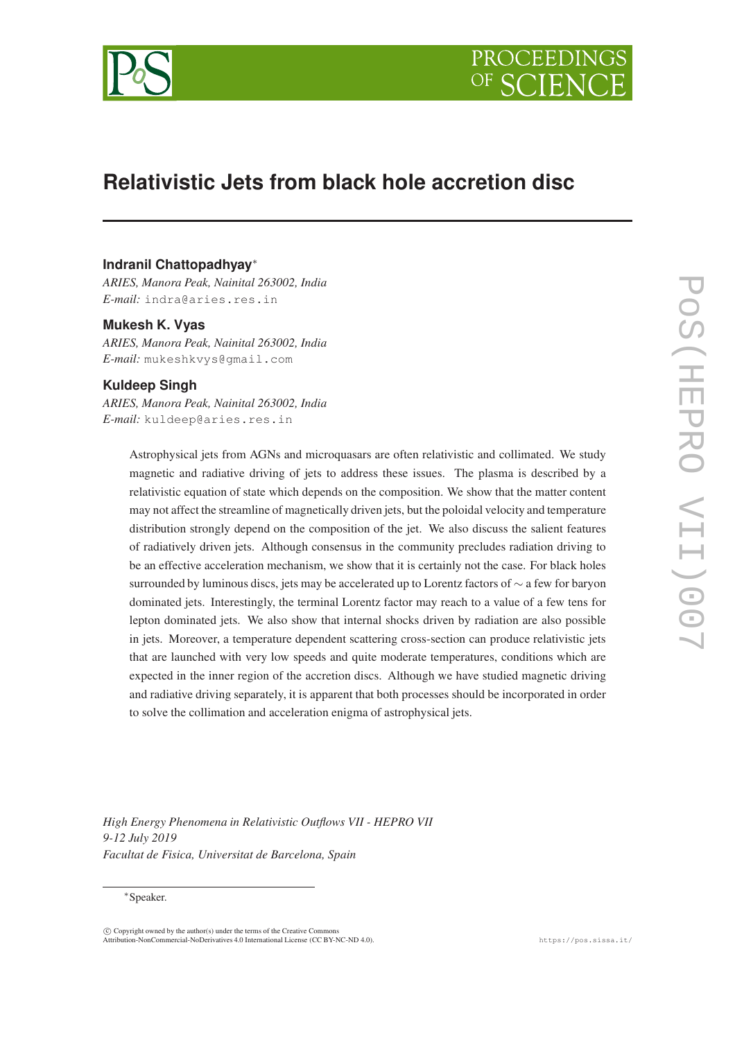



# **Relativistic Jets from black hole accretion disc**

# **Indranil Chattopadhyay**<sup>∗</sup>

*ARIES, Manora Peak, Nainital 263002, India E-mail:* indra@aries.res.in

#### **Mukesh K. Vyas**

*ARIES, Manora Peak, Nainital 263002, India E-mail:* mukeshkvys@gmail.com

### **Kuldeep Singh**

*ARIES, Manora Peak, Nainital 263002, India E-mail:* kuldeep@aries.res.in

> Astrophysical jets from AGNs and microquasars are often relativistic and collimated. We study magnetic and radiative driving of jets to address these issues. The plasma is described by a relativistic equation of state which depends on the composition. We show that the matter content may not affect the streamline of magnetically driven jets, but the poloidal velocity and temperature distribution strongly depend on the composition of the jet. We also discuss the salient features of radiatively driven jets. Although consensus in the community precludes radiation driving to be an effective acceleration mechanism, we show that it is certainly not the case. For black holes surrounded by luminous discs, jets may be accelerated up to Lorentz factors of ∼ a few for baryon dominated jets. Interestingly, the terminal Lorentz factor may reach to a value of a few tens for lepton dominated jets. We also show that internal shocks driven by radiation are also possible in jets. Moreover, a temperature dependent scattering cross-section can produce relativistic jets that are launched with very low speeds and quite moderate temperatures, conditions which are expected in the inner region of the accretion discs. Although we have studied magnetic driving and radiative driving separately, it is apparent that both processes should be incorporated in order to solve the collimation and acceleration enigma of astrophysical jets.

*High Energy Phenomena in Relativistic Outflows VII - HEPRO VII 9-12 July 2019 Facultat de Fisica, Universitat de Barcelona, Spain*

#### <sup>∗</sup>Speaker.

 $\overline{c}$  Copyright owned by the author(s) under the terms of the Creative Commons Attribution-NonCommercial-NoDerivatives 4.0 International License (CC BY-NC-ND 4.0). https://pos.sissa.it/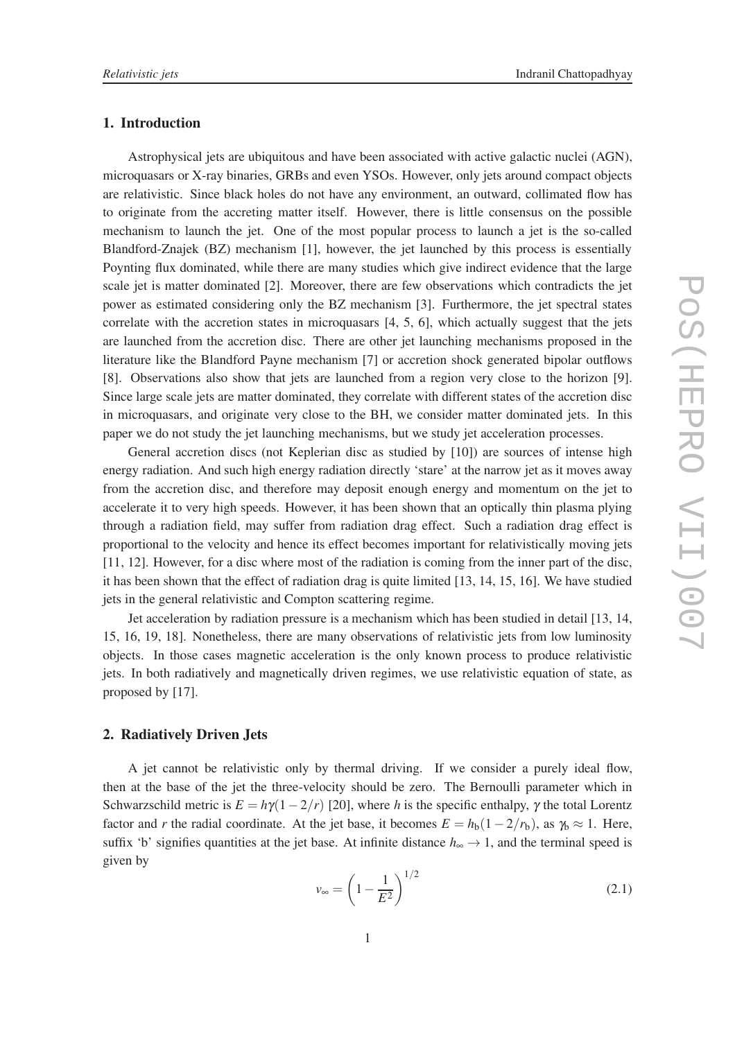#### 1. Introduction

Astrophysical jets are ubiquitous and have been associated with active galactic nuclei (AGN), microquasars or X-ray binaries, GRBs and even YSOs. However, only jets around compact objects are relativistic. Since black holes do not have any environment, an outward, collimated flow has to originate from the accreting matter itself. However, there is little consensus on the possible mechanism to launch the jet. One of the most popular process to launch a jet is the so-called Blandford-Znajek (BZ) mechanism [1], however, the jet launched by this process is essentially Poynting flux dominated, while there are many studies which give indirect evidence that the large scale jet is matter dominated [2]. Moreover, there are few observations which contradicts the jet power as estimated considering only the BZ mechanism [3]. Furthermore, the jet spectral states correlate with the accretion states in microquasars [4, 5, 6], which actually suggest that the jets are launched from the accretion disc. There are other jet launching mechanisms proposed in the literature like the Blandford Payne mechanism [7] or accretion shock generated bipolar outflows [8]. Observations also show that jets are launched from a region very close to the horizon [9]. Since large scale jets are matter dominated, they correlate with different states of the accretion disc in microquasars, and originate very close to the BH, we consider matter dominated jets. In this paper we do not study the jet launching mechanisms, but we study jet acceleration processes.

General accretion discs (not Keplerian disc as studied by [10]) are sources of intense high energy radiation. And such high energy radiation directly 'stare' at the narrow jet as it moves away from the accretion disc, and therefore may deposit enough energy and momentum on the jet to accelerate it to very high speeds. However, it has been shown that an optically thin plasma plying through a radiation field, may suffer from radiation drag effect. Such a radiation drag effect is proportional to the velocity and hence its effect becomes important for relativistically moving jets [11, 12]. However, for a disc where most of the radiation is coming from the inner part of the disc, it has been shown that the effect of radiation drag is quite limited [13, 14, 15, 16]. We have studied jets in the general relativistic and Compton scattering regime.

Jet acceleration by radiation pressure is a mechanism which has been studied in detail [13, 14, 15, 16, 19, 18]. Nonetheless, there are many observations of relativistic jets from low luminosity objects. In those cases magnetic acceleration is the only known process to produce relativistic jets. In both radiatively and magnetically driven regimes, we use relativistic equation of state, as proposed by [17].

#### 2. Radiatively Driven Jets

A jet cannot be relativistic only by thermal driving. If we consider a purely ideal flow, then at the base of the jet the three-velocity should be zero. The Bernoulli parameter which in Schwarzschild metric is  $E = h\gamma(1-2/r)$  [20], where *h* is the specific enthalpy,  $\gamma$  the total Lorentz factor and *r* the radial coordinate. At the jet base, it becomes  $E = h_b(1 - 2/r_b)$ , as  $\gamma_b \approx 1$ . Here, suffix 'b' signifies quantities at the jet base. At infinite distance  $h_{\infty} \to 1$ , and the terminal speed is given by

$$
v_{\infty} = \left(1 - \frac{1}{E^2}\right)^{1/2} \tag{2.1}
$$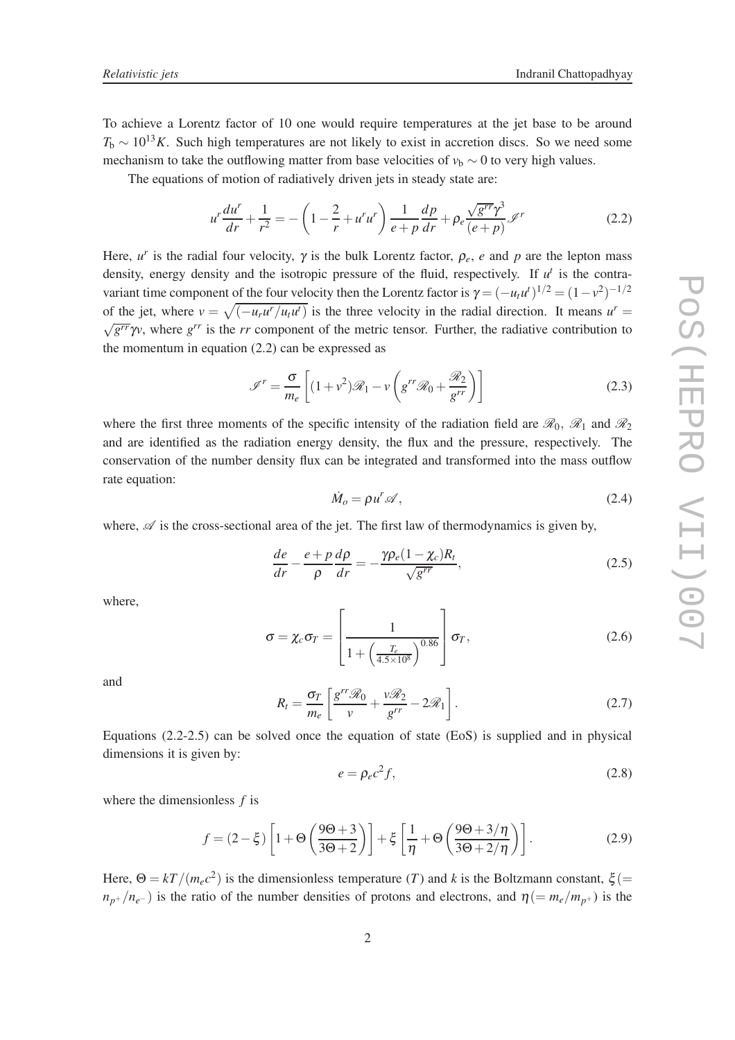To achieve a Lorentz factor of 10 one would require temperatures at the jet base to be around  $T<sub>b</sub> \sim 10^{13} K$ . Such high temperatures are not likely to exist in accretion discs. So we need some mechanism to take the outflowing matter from base velocities of  $v<sub>b</sub> \sim 0$  to very high values.

The equations of motion of radiatively driven jets in steady state are:

$$
u^{r} \frac{du^{r}}{dr} + \frac{1}{r^{2}} = -\left(1 - \frac{2}{r} + u^{r} u^{r}\right) \frac{1}{e + p} \frac{dp}{dr} + \rho_{e} \frac{\sqrt{g^{rr}} \gamma^{3}}{(e + p)} \mathcal{I}^{r}
$$
(2.2)

Here,  $u^r$  is the radial four velocity,  $\gamma$  is the bulk Lorentz factor,  $\rho_e$ , *e* and *p* are the lepton mass density, energy density and the isotropic pressure of the fluid, respectively. If  $u^t$  is the contravariant time component of the four velocity then the Lorentz factor is  $\gamma = (-u_t u^t)^{1/2} = (1 - v^2)^{-1/2}$ of the jet, where  $v = \sqrt{(-u_r u^r / u_t u^t)}$  is the three velocity in the radial direction. It means  $u^r =$  $\sqrt{g^{rr}}\gamma v$ , where  $g^{rr}$  is the *rr* component of the metric tensor. Further, the radiative contribution to the momentum in equation  $(2.2)$  can be expressed as

$$
\mathcal{I}^r = \frac{\sigma}{m_e} \left[ (1 + v^2) \mathcal{R}_1 - v \left( g^{rr} \mathcal{R}_0 + \frac{\mathcal{R}_2}{g^{rr}} \right) \right]
$$
(2.3)

where the first three moments of the specific intensity of the radiation field are  $\mathcal{R}_0$ ,  $\mathcal{R}_1$  and  $\mathcal{R}_2$ and are identified as the radiation energy density, the flux and the pressure, respectively. The conservation of the number density flux can be integrated and transformed into the mass outflow rate equation:

$$
\dot{M}_o = \rho u^r \mathscr{A},\tag{2.4}
$$

where,  $\mathscr A$  is the cross-sectional area of the jet. The first law of thermodynamics is given by,

$$
\frac{de}{dr} - \frac{e + p}{\rho} \frac{d\rho}{dr} = -\frac{\gamma \rho_e (1 - \chi_c) R_t}{\sqrt{g^{rr}}},\tag{2.5}
$$

where,

$$
\sigma = \chi_c \sigma_T = \left[ \frac{1}{1 + \left( \frac{T_e}{4.5 \times 10^8} \right)^{0.86}} \right] \sigma_T, \qquad (2.6)
$$

and

$$
R_t = \frac{\sigma_T}{m_e} \left[ \frac{g^{rr} \mathcal{R}_0}{v} + \frac{v \mathcal{R}_2}{g^{rr}} - 2\mathcal{R}_1 \right].
$$
 (2.7)

Equations (2.2-2.5) can be solved once the equation of state (EoS) is supplied and in physical dimensions it is given by:

$$
e = \rho_e c^2 f,\tag{2.8}
$$

where the dimensionless *f* is

$$
f = (2 - \xi) \left[ 1 + \Theta \left( \frac{9\Theta + 3}{3\Theta + 2} \right) \right] + \xi \left[ \frac{1}{\eta} + \Theta \left( \frac{9\Theta + 3/\eta}{3\Theta + 2/\eta} \right) \right].
$$
 (2.9)

Here,  $\Theta = kT/(m_e c^2)$  is the dimensionless temperature (*T*) and *k* is the Boltzmann constant,  $\xi$ (=  $n_{p+}/n_{e-}$ ) is the ratio of the number densities of protons and electrons, and  $\eta (= m_e/m_{p+})$  is the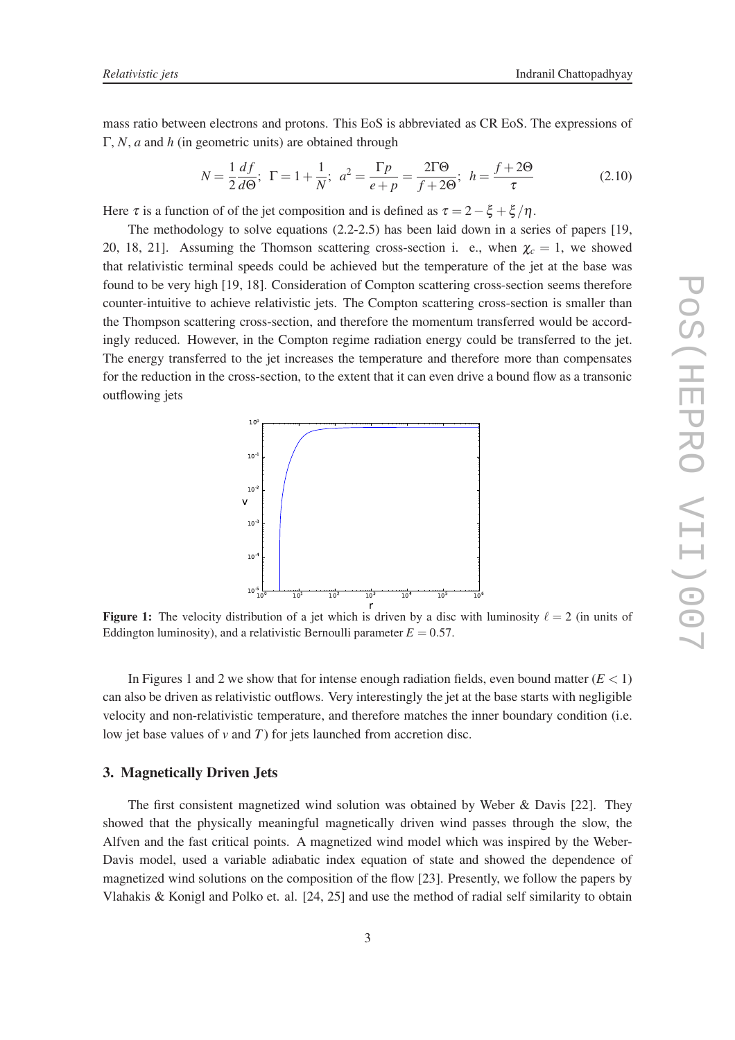mass ratio between electrons and protons. This EoS is abbreviated as CR EoS. The expressions of Γ, *N*, *a* and *h* (in geometric units) are obtained through

$$
N = \frac{1}{2} \frac{df}{d\Theta}; \ \ \Gamma = 1 + \frac{1}{N}; \ \ a^2 = \frac{\Gamma p}{e + p} = \frac{2\Gamma\Theta}{f + 2\Theta}; \ \ h = \frac{f + 2\Theta}{\tau}
$$
(2.10)

Here  $\tau$  is a function of of the jet composition and is defined as  $\tau = 2 - \xi + \xi/\eta$ .

The methodology to solve equations (2.2-2.5) has been laid down in a series of papers [19, 20, 18, 21]. Assuming the Thomson scattering cross-section i. e., when  $\chi_c = 1$ , we showed that relativistic terminal speeds could be achieved but the temperature of the jet at the base was found to be very high [19, 18]. Consideration of Compton scattering cross-section seems therefore counter-intuitive to achieve relativistic jets. The Compton scattering cross-section is smaller than the Thompson scattering cross-section, and therefore the momentum transferred would be accordingly reduced. However, in the Compton regime radiation energy could be transferred to the jet. The energy transferred to the jet increases the temperature and therefore more than compensates for the reduction in the cross-section, to the extent that it can even drive a bound flow as a transonic outflowing jets



**Figure 1:** The velocity distribution of a jet which is driven by a disc with luminosity  $\ell = 2$  (in units of Eddington luminosity), and a relativistic Bernoulli parameter  $E = 0.57$ .

In Figures 1 and 2 we show that for intense enough radiation fields, even bound matter  $(E < 1)$ can also be driven as relativistic outflows. Very interestingly the jet at the base starts with negligible velocity and non-relativistic temperature, and therefore matches the inner boundary condition (i.e. low jet base values of  $v$  and  $T$ ) for jets launched from accretion disc.

#### 3. Magnetically Driven Jets

The first consistent magnetized wind solution was obtained by Weber & Davis [22]. They showed that the physically meaningful magnetically driven wind passes through the slow, the Alfven and the fast critical points. A magnetized wind model which was inspired by the Weber-Davis model, used a variable adiabatic index equation of state and showed the dependence of magnetized wind solutions on the composition of the flow [23]. Presently, we follow the papers by Vlahakis & Konigl and Polko et. al. [24, 25] and use the method of radial self similarity to obtain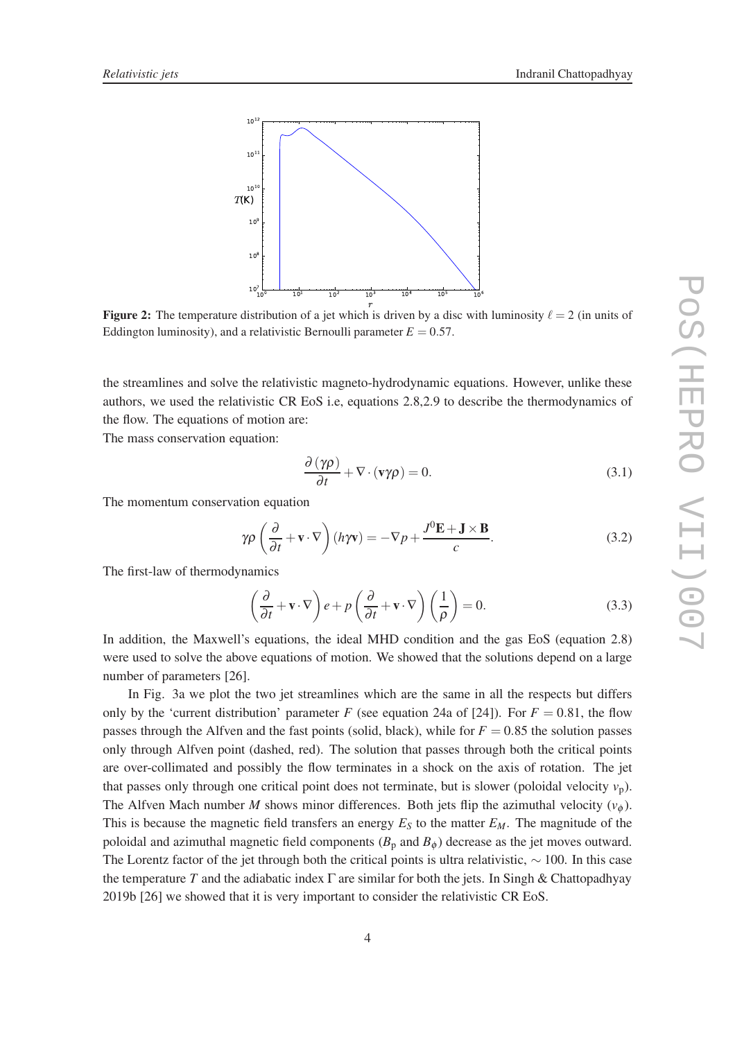

**Figure 2:** The temperature distribution of a jet which is driven by a disc with luminosity  $\ell = 2$  (in units of Eddington luminosity), and a relativistic Bernoulli parameter  $E = 0.57$ .

the streamlines and solve the relativistic magneto-hydrodynamic equations. However, unlike these authors, we used the relativistic CR EoS i.e, equations 2.8,2.9 to describe the thermodynamics of the flow. The equations of motion are:

The mass conservation equation:

$$
\frac{\partial (\gamma \rho)}{\partial t} + \nabla \cdot (\mathbf{v} \gamma \rho) = 0. \tag{3.1}
$$

The momentum conservation equation

$$
\gamma \rho \left( \frac{\partial}{\partial t} + \mathbf{v} \cdot \nabla \right) (h \gamma \mathbf{v}) = -\nabla p + \frac{J^0 \mathbf{E} + \mathbf{J} \times \mathbf{B}}{c}.
$$
 (3.2)

The first-law of thermodynamics

$$
\left(\frac{\partial}{\partial t} + \mathbf{v} \cdot \nabla\right) e + p \left(\frac{\partial}{\partial t} + \mathbf{v} \cdot \nabla\right) \left(\frac{1}{\rho}\right) = 0.
$$
\n(3.3)

In addition, the Maxwell's equations, the ideal MHD condition and the gas EoS (equation 2.8) were used to solve the above equations of motion. We showed that the solutions depend on a large number of parameters [26].

In Fig. 3a we plot the two jet streamlines which are the same in all the respects but differs only by the 'current distribution' parameter *F* (see equation 24a of [24]). For  $F = 0.81$ , the flow passes through the Alfven and the fast points (solid, black), while for  $F = 0.85$  the solution passes only through Alfven point (dashed, red). The solution that passes through both the critical points are over-collimated and possibly the flow terminates in a shock on the axis of rotation. The jet that passes only through one critical point does not terminate, but is slower (poloidal velocity  $v_p$ ). The Alfven Mach number *M* shows minor differences. Both jets flip the azimuthal velocity  $(v_{\phi})$ . This is because the magnetic field transfers an energy  $E<sub>S</sub>$  to the matter  $E<sub>M</sub>$ . The magnitude of the poloidal and azimuthal magnetic field components  $(B_p \text{ and } B_{\phi})$  decrease as the jet moves outward. The Lorentz factor of the jet through both the critical points is ultra relativistic,  $\sim 100$ . In this case the temperature *T* and the adiabatic index  $\Gamma$  are similar for both the jets. In Singh & Chattopadhyay 2019b [26] we showed that it is very important to consider the relativistic CR EoS.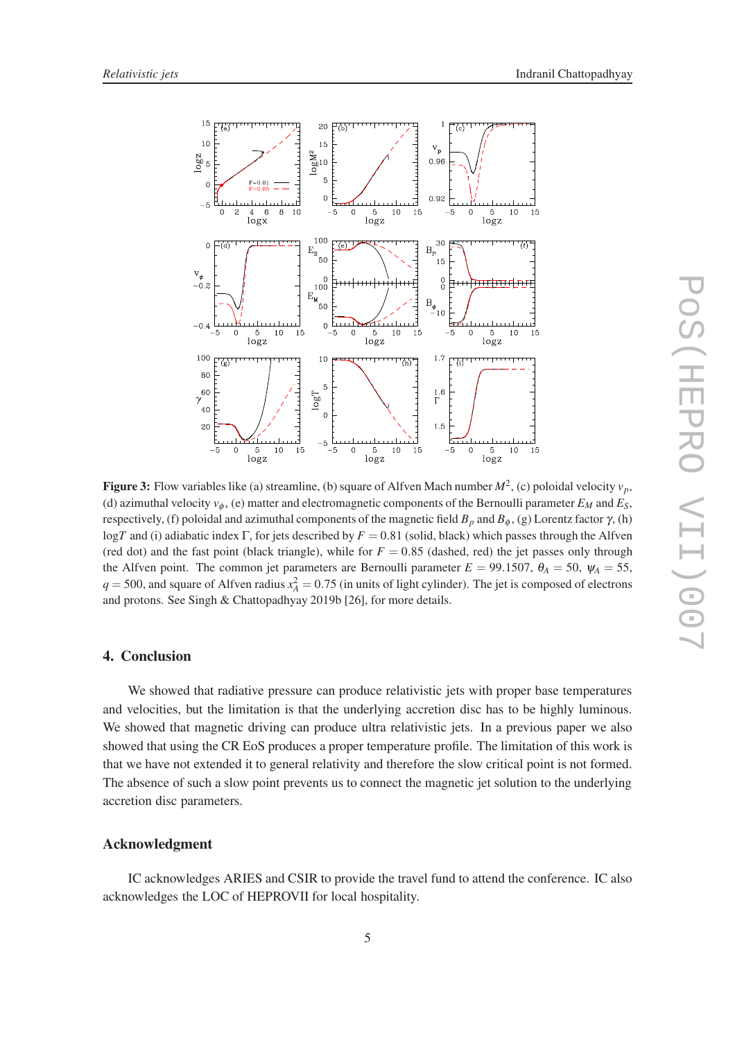

**Figure 3:** Flow variables like (a) streamline, (b) square of Alfven Mach number  $M^2$ , (c) poloidal velocity  $v_p$ , (d) azimuthal velocity  $v_{\phi}$ , (e) matter and electromagnetic components of the Bernoulli parameter  $E_M$  and  $E_S$ , respectively, (f) poloidal and azimuthal components of the magnetic field  $B_p$  and  $B_φ$ , (g) Lorentz factor  $γ$ , (h) log*T* and (i) adiabatic index Γ, for jets described by *F* = 0.81 (solid, black) which passes through the Alfven (red dot) and the fast point (black triangle), while for  $F = 0.85$  (dashed, red) the jet passes only through the Alfven point. The common jet parameters are Bernoulli parameter  $E = 99.1507$ ,  $\theta_A = 50$ ,  $\psi_A = 55$ ,  $q = 500$ , and square of Alfven radius  $x_A^2 = 0.75$  (in units of light cylinder). The jet is composed of electrons and protons. See Singh & Chattopadhyay 2019b [26], for more details.

## 4. Conclusion

We showed that radiative pressure can produce relativistic jets with proper base temperatures and velocities, but the limitation is that the underlying accretion disc has to be highly luminous. We showed that magnetic driving can produce ultra relativistic jets. In a previous paper we also showed that using the CR EoS produces a proper temperature profile. The limitation of this work is that we have not extended it to general relativity and therefore the slow critical point is not formed. The absence of such a slow point prevents us to connect the magnetic jet solution to the underlying accretion disc parameters.

## Acknowledgment

IC acknowledges ARIES and CSIR to provide the travel fund to attend the conference. IC also acknowledges the LOC of HEPROVII for local hospitality.